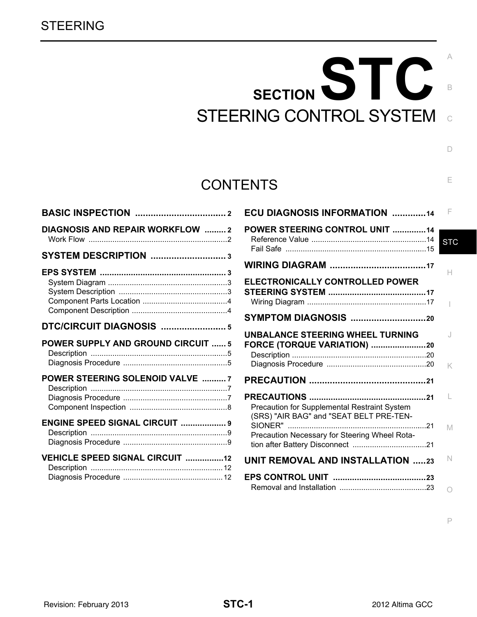# SECTION STC STEERING CONTROL SYSTEM

# **CONTENTS**

| DIAGNOSIS AND REPAIR WORKFLOW 2           |  |
|-------------------------------------------|--|
|                                           |  |
|                                           |  |
| DTC/CIRCUIT DIAGNOSIS  5                  |  |
| <b>POWER SUPPLY AND GROUND CIRCUIT  5</b> |  |
|                                           |  |
| POWER STEERING SOLENOID VALVE  7          |  |
| <b>ENGINE SPEED SIGNAL CIRCUIT  9</b>     |  |

| ECU DIAGNOSIS INFORMATION 14                                                                  | F          |
|-----------------------------------------------------------------------------------------------|------------|
| <b>POWER STEERING CONTROL UNIT 14</b>                                                         | <b>STC</b> |
|                                                                                               |            |
| ELECTRONICALLY CONTROLLED POWER                                                               | н          |
| SYMPTOM DIAGNOSIS 20                                                                          |            |
| <b>UNBALANCE STEERING WHEEL TURNING</b><br><b>FORCE (TORQUE VARIATION) 20</b>                 | K          |
|                                                                                               |            |
| Precaution for Supplemental Restraint System<br>(SRS) "AIR BAG" and "SEAT BELT PRE-TEN-<br>21 | M          |
| Precaution Necessary for Steering Wheel Rota-                                                 |            |
| <b>UNIT REMOVAL AND INSTALLATION 23</b>                                                       | N          |
|                                                                                               |            |

P

 $\overline{C}$ 

B

 $\Box$ 

E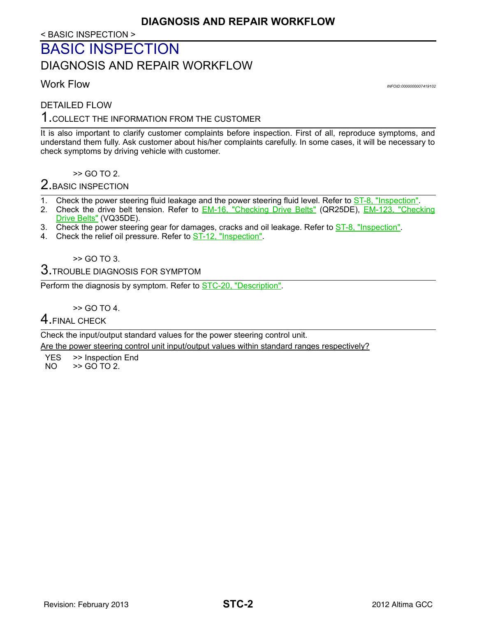< BASIC INSPECTION >

# <span id="page-1-1"></span><span id="page-1-0"></span>BASIC INSPECTION DIAGNOSIS AND REPAIR WORKFLOW

<span id="page-1-2"></span>Work Flow *INFOID:0000000007419102*

DETAILED FLOW

## 1.COLLECT THE INFORMATION FROM THE CUSTOMER

It is also important to clarify customer complaints before inspection. First of all, reproduce symptoms, and understand them fully. Ask customer about his/her complaints carefully. In some cases, it will be necessary to check symptoms by driving vehicle with customer.

>> GO TO 2.

## 2. BASIC INSPECTION

- 1. Check the power steering fluid leakage and the power steering fluid level. Refer to **ST-8**, "Inspection".
- 2. Check the drive belt tension. Refer to EM-16, "Checking Drive Belts" (QR25DE), EM-123, "Checking Drive Belts" (VQ35DE).
- 3. Check the power steering gear for damages, cracks and oil leakage. Refer to **ST-8**, "Inspection".
- 4. Check the relief oil pressure. Refer to ST-12, "Inspection".

>> GO TO 3.

## $3$ . TROUBLE DIAGNOSIS FOR SYMPTOM

Perform the diagnosis by symptom. Refer to [STC-20, "Description".](#page-19-2)

>> GO TO 4.

#### 4. FINAL CHECK

Check the input/output standard values for the power steering control unit.

Are the power steering control unit input/output values within standard ranges respectively?

YES >> Inspection End  $NO \rightarrow$  SQ TO 2.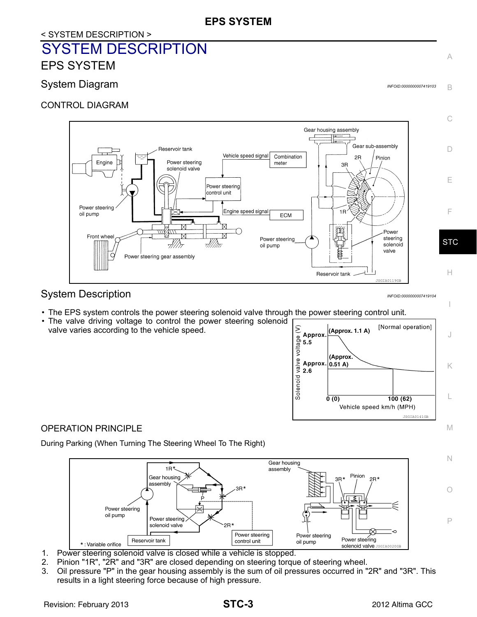## <span id="page-2-0"></span>< SYSTEM DESCRIPTION > SYSTEM DESCRIPTION EPS SYSTEM

## <span id="page-2-2"></span><span id="page-2-1"></span>System Diagram *Information* and the system of the system of the system of the system of the system of the system of the system of the system of the system of the system of the system of the system of the system of the sys

CONTROL DIAGRAM



## <span id="page-2-3"></span>System Description *INFOID:0000000007419104*

- The EPS system controls the power steering solenoid valve through the power steering control unit.
- The valve driving voltage to control the power steering solenoid valve varies according to the vehicle speed.



I

N

O

P

A

B

## OPERATION PRINCIPLE

During Parking (When Turning The Steering Wheel To The Right)



- 1. Power steering solenoid valve is closed while a vehicle is stopped.
- 2. Pinion "1R", "2R" and "3R" are closed depending on steering torque of steering wheel.
- 3. Oil pressure "P" in the gear housing assembly is the sum of oil pressures occurred in "2R" and "3R". This results in a light steering force because of high pressure.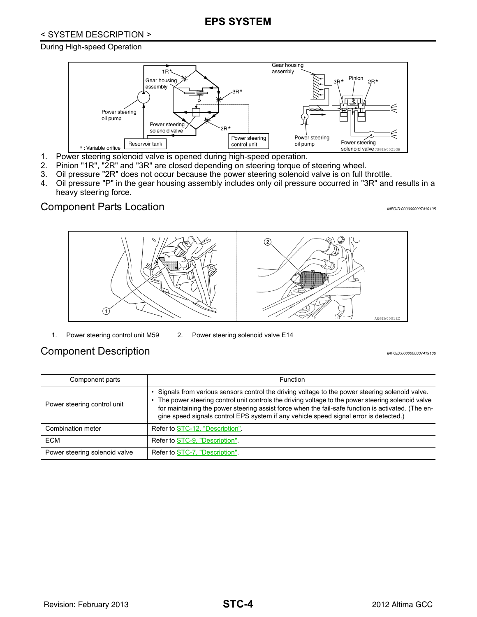## **EPS SYSTEM**

#### < SYSTEM DESCRIPTION >

#### During High-speed Operation



- 1. Power steering solenoid valve is opened during high-speed operation.
- 2. Pinion "1R", "2R" and "3R" are closed depending on steering torque of steering wheel.
- 3. Oil pressure "2R" does not occur because the power steering solenoid valve is on full throttle.
- 4. Oil pressure "P" in the gear housing assembly includes only oil pressure occurred in "3R" and results in a heavy steering force.

## <span id="page-3-0"></span>Component Parts Location *INFOID:000000007419105*





- 
- 1. Power steering control unit M59 2. Power steering solenoid valve E14

## <span id="page-3-1"></span>Component Description **International Component** Description

| Component parts               | <b>Function</b>                                                                                                                                                                                                                                                                                                                                                                                      |
|-------------------------------|------------------------------------------------------------------------------------------------------------------------------------------------------------------------------------------------------------------------------------------------------------------------------------------------------------------------------------------------------------------------------------------------------|
| Power steering control unit   | . Signals from various sensors control the driving voltage to the power steering solenoid valve.<br>The power steering control unit controls the driving voltage to the power steering solenoid valve<br>for maintaining the power steering assist force when the fail-safe function is activated. (The en-<br>gine speed signals control EPS system if any vehicle speed signal error is detected.) |
| Combination meter             | Refer to STC-12, "Description".                                                                                                                                                                                                                                                                                                                                                                      |
| ECM                           | Refer to STC-9, "Description".                                                                                                                                                                                                                                                                                                                                                                       |
| Power steering solenoid valve | Refer to STC-7, "Description".                                                                                                                                                                                                                                                                                                                                                                       |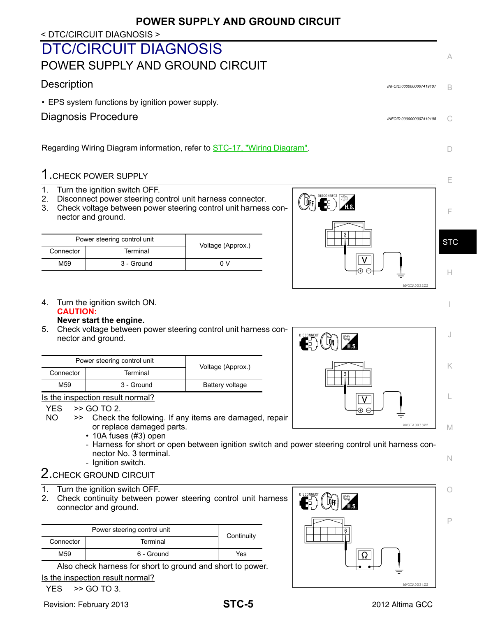## **POWER SUPPLY AND GROUND CIRCUIT**

< DTC/CIRCUIT DIAGNOSIS >

# <span id="page-4-1"></span><span id="page-4-0"></span>DTC/CIRCUIT DIAGNOSIS POWER SUPPLY AND GROUND CIRCUIT

## <span id="page-4-2"></span>Description *INFOID:0000000007419107*

• EPS system functions by ignition power supply.

## <span id="page-4-3"></span>Diagnosis Procedure *INFOID:0000000007419108*

Regarding Wiring Diagram information, refer to **STC-17**, "Wiring Diagram".

## 1.CHECK POWER SUPPLY

- 1. Turn the ignition switch OFF.
- 2. Disconnect power steering control unit harness connector.
- 3. Check voltage between power steering control unit harness connector and ground.

| Power steering control unit |            | Voltage (Approx.) |
|-----------------------------|------------|-------------------|
| Connector                   | Terminal   |                   |
| M59                         | 3 - Ground | n v               |



4. Turn the ignition switch ON. **CAUTION:**

#### **Never start the engine.**

5. Check voltage between power steering control unit harness connector and ground.

|           | Power steering control unit<br>Voltage (Approx.) |                 |  |
|-----------|--------------------------------------------------|-----------------|--|
| Connector | Terminal                                         |                 |  |
| M59       | 3 - Ground                                       | Battery voltage |  |

Is the inspection result normal?

#### $YES$   $\rightarrow$  GO TO 2.

- NO >> Check the following. If any items are damaged, repair or replace damaged parts.
	- 10A fuses (#3) open
	- Harness for short or open between ignition switch and power steering control unit harness connector No. 3 terminal.
	- Ignition switch.
- 2. CHECK GROUND CIRCUIT
- 1. Turn the ignition switch OFF.
- 2. Check continuity between power steering control unit harness connector and ground.

|                       | Power steering control unit | Continuity |
|-----------------------|-----------------------------|------------|
| Terminal<br>Connector |                             |            |
| M59                   | 6 - Ground                  | Yes        |

Also check harness for short to ground and short to power. Is the inspection result normal?

$$
YES \rightarrow GOTO 3.
$$





AWGIA0034ZZ

| DISCONNECT<br>H.S. | J              |
|--------------------|----------------|
| 3                  |                |
| ╉<br>÷             | └              |
| AWGIA0033ZZ        | $\mathbb{N}$ / |

N

O

P

M

 $\subset$ 

A

B

D

E

F

H

I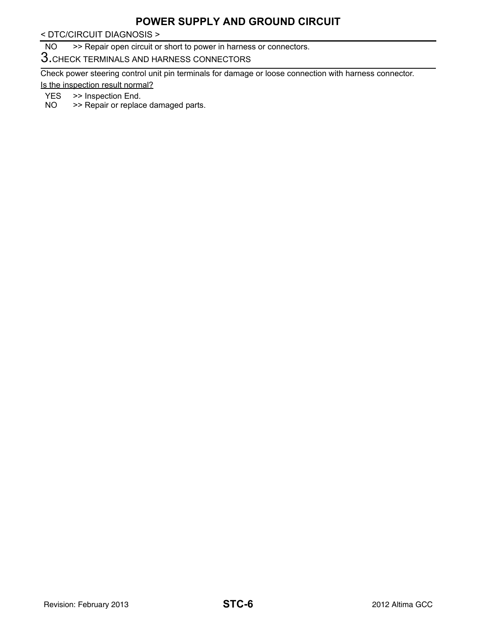## **POWER SUPPLY AND GROUND CIRCUIT**

< DTC/CIRCUIT DIAGNOSIS >

NO >> Repair open circuit or short to power in harness or connectors.

3.CHECK TERMINALS AND HARNESS CONNECTORS

Check power steering control unit pin terminals for damage or loose connection with harness connector. Is the inspection result normal?

- YES >> Inspection End.
- NO >> Repair or replace damaged parts.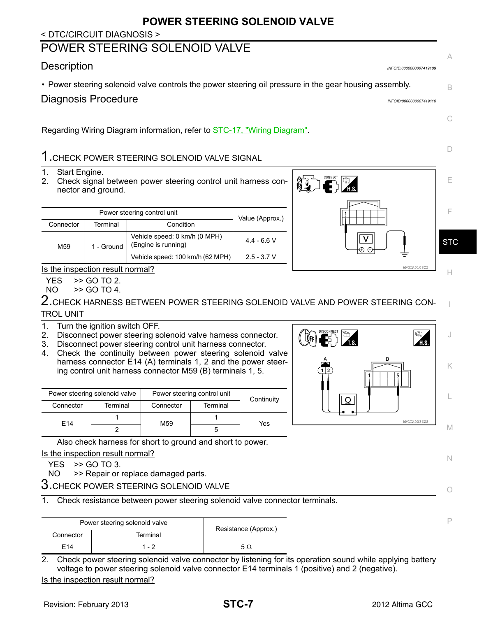## **POWER STEERING SOLENOID VALVE**

#### < DTC/CIRCUIT DIAGNOSIS >

## <span id="page-6-0"></span>POWER STEERING SOLENOID VALVE

## <span id="page-6-1"></span>Description *INFOID:0000000007419109*

• Power steering solenoid valve controls the power steering oil pressure in the gear housing assembly.

<span id="page-6-2"></span>

| Diagnosis Procedure | INFOID:0000000007419110 |
|---------------------|-------------------------|
|                     |                         |

Regarding Wiring Diagram information, refer to [STC-17, "Wiring Diagram".](#page-16-2)

## 1.CHECK POWER STEERING SOLENOID VALVE SIGNAL

- 1. Start Engine.
- 2. Check signal between power steering control unit harness connector and ground.

| Power steering control unit        |            | Value (Approx.)                                      |               |
|------------------------------------|------------|------------------------------------------------------|---------------|
| Connector<br>Terminal<br>Condition |            |                                                      |               |
| M <sub>59</sub>                    | 1 - Ground | Vehicle speed: 0 km/h (0 MPH)<br>(Engine is running) | $4.4 - 6.6$ V |
|                                    |            | Vehicle speed: 100 km/h (62 MPH)                     | $2.5 - 3.7 V$ |

Is the inspection result normal?

YES >> GO TO 2.

 $NO \t>> GOTO4$ .

 $\boldsymbol{2}.$ CHECK HARNESS BETWEEN POWER STEERING SOLENOID VALVE AND POWER STEERING CON-TROL UNIT

- 1. Turn the ignition switch OFF.
- 2. Disconnect power steering solenoid valve harness connector.
- 3. Disconnect power steering control unit harness connector.
- 4. Check the continuity between power steering solenoid valve harness connector E14 (A) terminals 1, 2 and the power steering control unit harness connector M59 (B) terminals 1, 5.

| Power steering solenoid valve |          | Power steering control unit |          | Continuity |
|-------------------------------|----------|-----------------------------|----------|------------|
| Connector                     | Terminal | Connector                   | Terminal |            |
| F <sub>14</sub>               |          | M59                         |          | Yes        |
|                               |          |                             |          |            |

Also check harness for short to ground and short to power.

Is the inspection result normal?

YES >> GO TO 3.

NO >> Repair or replace damaged parts.

 $3.$ CHECK POWER STEERING SOLENOID VALVE

1. Check resistance between power steering solenoid valve connector terminals.

|           | Power steering solenoid valve | Resistance (Approx.) |
|-----------|-------------------------------|----------------------|
| Connector | Terminal                      |                      |
| F14       | 1 - 2                         | 5 O                  |

2. Check power steering solenoid valve connector by listening for its operation sound while applying battery voltage to power steering solenoid valve connector E14 terminals 1 (positive) and 2 (negative).

Is the inspection result normal?





N

M

C

A

B

D

I

P

O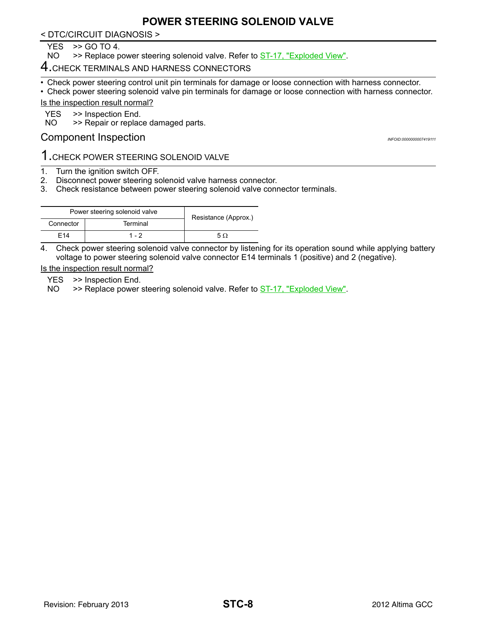## **POWER STEERING SOLENOID VALVE**

< DTC/CIRCUIT DIAGNOSIS >

 $YES$   $>>$  GO TO 4.<br>NO  $>>$  Replace p

>> Replace power steering solenoid valve. Refer to ST-17, "Exploded View".

## 4. CHECK TERMINALS AND HARNESS CONNECTORS

• Check power steering control unit pin terminals for damage or loose connection with harness connector.

• Check power steering solenoid valve pin terminals for damage or loose connection with harness connector.

Is the inspection result normal?

YES >> Inspection End.

NO >> Repair or replace damaged parts.

#### <span id="page-7-0"></span>Component Inspection *INFOID:0000000007419111*

# 1.CHECK POWER STEERING SOLENOID VALVE

- 1. Turn the ignition switch OFF.
- 2. Disconnect power steering solenoid valve harness connector.
- 3. Check resistance between power steering solenoid valve connector terminals.

| Power steering solenoid valve |          | Resistance (Approx.) |
|-------------------------------|----------|----------------------|
| Connector                     | Terminal |                      |
| F14                           | $1 - 2$  | 50                   |

4. Check power steering solenoid valve connector by listening for its operation sound while applying battery voltage to power steering solenoid valve connector E14 terminals 1 (positive) and 2 (negative).

Is the inspection result normal?

YES >> Inspection End.

NO >> Replace power steering solenoid valve. Refer to **ST-17**, "Exploded View".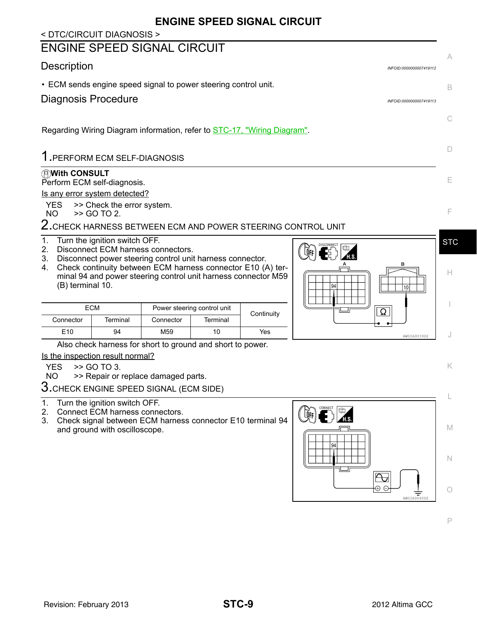## **ENGINE SPEED SIGNAL CIRCUIT**

#### <span id="page-8-2"></span><span id="page-8-1"></span><span id="page-8-0"></span>< DTC/CIRCUIT DIAGNOSIS > ENGINE SPEED SIGNAL CIRCUIT A Description *INFOID:0000000007419112* • ECM sends engine speed signal to power steering control unit. B Diagnosis Procedure *INFOID:0000000007419113* C Regarding Wiring Diagram information, refer to **STC-17, "Wiring Diagram"**. D 1.PERFORM ECM SELF-DIAGNOSIS **With CONSULT** E Perform ECM self-diagnosis. Is any error system detected? YES >> Check the error system.<br>NO >> GO TO 2. F >> GO TO 2. 2. CHECK HARNESS BETWEEN ECM AND POWER STEERING CONTROL UNIT 1. Turn the ignition switch OFF. **STC**  $\sqrt{2}$  $\left(\mathbf{E}\right)$   $\mathbb{R}$ 2. Disconnect ECM harness connectors. 3. Disconnect power steering control unit harness connector. 4. Check continuity between ECM harness connector E10 (A) ter-H minal 94 and power steering control unit harness connector M59 (B) terminal 10. I ECM Power steering control unit<br>
Connector Terminal Connector Terminal Continuity Ω  $E$ 10  $\begin{array}{|c|c|c|c|c|}\hline \end{array}$  94 M59 10 Yes  $\begin{array}{|c|c|c|c|c|}\hline \end{array}$ J Also check harness for short to ground and short to power. Is the inspection result normal? YES >> GO TO 3. K NO >> Repair or replace damaged parts. 3.CHECK ENGINE SPEED SIGNAL (ECM SIDE) L 1. Turn the ignition switch OFF.  $\left(\begin{matrix} \mathbf{Q}_{\text{RF}} \\ \mathbf{Q}_{\text{RF}} \end{matrix}\right)$ 2. Connect ECM harness connectors. 3. Check signal between ECM harness connector E10 terminal 94 M and ground with oscilloscope. N Ą,  $\widehat{A}$ O AWGIA0040ZZ P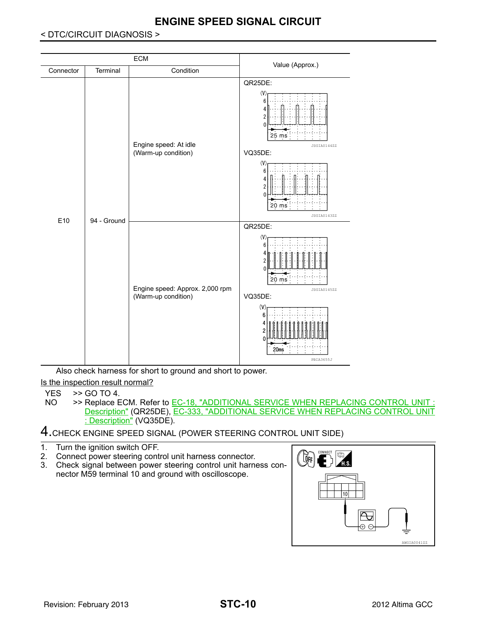#### **ECM** Connector Terminal Condition Condition Condition Condition Condition Condition Condition QR25DE:  $\alpha$ 6 2  $25 ms$ Engine speed: At idle JSGIA0144ZZ (Warm-up condition) VQ35DE:  $($ V  $\epsilon$ 4 2  $\Omega$ 20 ms JSGIA0143ZZ E10 94 - Ground QR25DE:  $\alpha$ 6 ç 20 ms Engine speed: Approx. 2,000 rpm JSGIA0145ZZ (Warm-up condition) VQ35DE:  $\alpha$ 6  $20ms$ PBIA3655J

## **ENGINE SPEED SIGNAL CIRCUIT**

#### < DTC/CIRCUIT DIAGNOSIS >

Also check harness for short to ground and short to power. Is the inspection result normal?

- $YES$   $>>$  GO TO 4.<br>NO  $>>$  Replace E >> Replace ECM. Refer to EC-18, "ADDITIONAL SERVICE WHEN REPLACING CONTROL UNIT Description" (QR25DE), EC-333, "ADDITIONAL SERVICE WHEN REPLACING CONTROL UNIT : Description" (VQ35DE).
- 4.CHECK ENGINE SPEED SIGNAL (POWER STEERING CONTROL UNIT SIDE)
- 1. Turn the ignition switch OFF.
- 2. Connect power steering control unit harness connector.
- 3. Check signal between power steering control unit harness connector M59 terminal 10 and ground with oscilloscope.

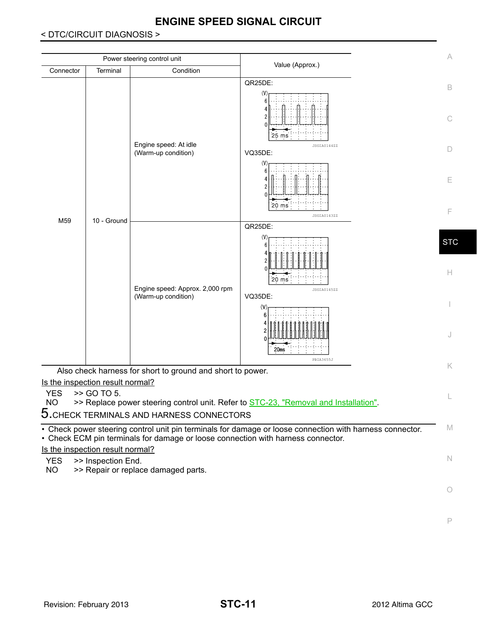# **ENGINE SPEED SIGNAL CIRCUIT**

#### < DTC/CIRCUIT DIAGNOSIS >

|                                                                                                                                                                                                                         |             | Power steering control unit                                                      |                                                                                                          | A                |  |  |  |
|-------------------------------------------------------------------------------------------------------------------------------------------------------------------------------------------------------------------------|-------------|----------------------------------------------------------------------------------|----------------------------------------------------------------------------------------------------------|------------------|--|--|--|
| Connector                                                                                                                                                                                                               | Terminal    | Condition                                                                        | Value (Approx.)                                                                                          |                  |  |  |  |
|                                                                                                                                                                                                                         |             | Engine speed: At idle<br>(Warm-up condition)                                     | QR25DE:<br>(V)<br>6<br>$25 \text{ ms}$<br>JSGIA0144ZZ<br>VQ35DE:                                         | B<br>C<br>D      |  |  |  |
|                                                                                                                                                                                                                         |             |                                                                                  | (V)<br>6<br>$20 \text{ ms}$<br>JSGIA0143ZZ                                                               | E<br>F           |  |  |  |
| M59                                                                                                                                                                                                                     | 10 - Ground |                                                                                  | QR25DE:                                                                                                  |                  |  |  |  |
|                                                                                                                                                                                                                         |             | Engine speed: Approx. 2,000 rpm<br>(Warm-up condition)                           | ĥ<br>$20 \text{ ms}$<br>JSGIA0145ZZ                                                                      | <b>STC</b><br>H. |  |  |  |
|                                                                                                                                                                                                                         |             |                                                                                  | VQ35DE:<br>(V)<br>6<br>20ms<br>PBIA3655J                                                                 | J                |  |  |  |
|                                                                                                                                                                                                                         |             | Also check harness for short to ground and short to power.                       |                                                                                                          | K.               |  |  |  |
| Is the inspection result normal?<br>>> GO TO 5.<br><b>YES</b><br><b>NO</b><br>>> Replace power steering control unit. Refer to <b>STC-23</b> , "Removal and Installation".<br>5. CHECK TERMINALS AND HARNESS CONNECTORS |             |                                                                                  |                                                                                                          |                  |  |  |  |
|                                                                                                                                                                                                                         |             | • Check ECM pin terminals for damage or loose connection with harness connector. | • Check power steering control unit pin terminals for damage or loose connection with harness connector. | M                |  |  |  |
| Is the inspection result normal?                                                                                                                                                                                        |             |                                                                                  |                                                                                                          |                  |  |  |  |
| N<br>>> Inspection End.<br><b>YES</b><br><b>NO</b><br>>> Repair or replace damaged parts.                                                                                                                               |             |                                                                                  |                                                                                                          |                  |  |  |  |
|                                                                                                                                                                                                                         |             |                                                                                  |                                                                                                          | 0                |  |  |  |

P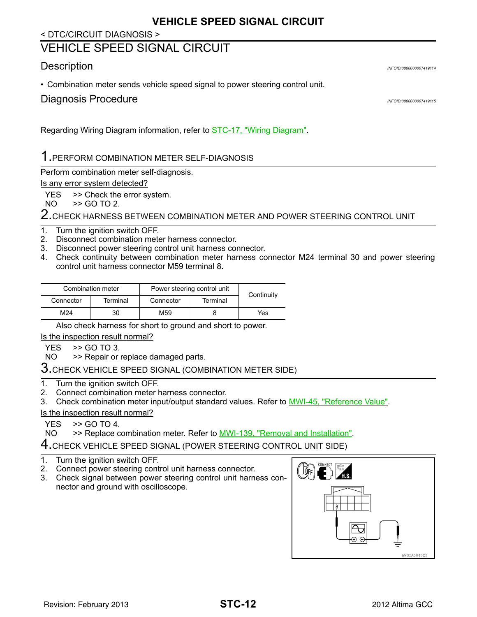## **VEHICLE SPEED SIGNAL CIRCUIT**

#### < DTC/CIRCUIT DIAGNOSIS >

## <span id="page-11-0"></span>VEHICLE SPEED SIGNAL CIRCUIT

#### <span id="page-11-1"></span>Description *INFOID:0000000007419114*

• Combination meter sends vehicle speed signal to power steering control unit.

```
Diagnosis Procedure INFOID:0000000007419115
```
Regarding Wiring Diagram information, refer to [STC-17, "Wiring Diagram"](#page-16-2).

# 1.PERFORM COMBINATION METER SELF-DIAGNOSIS

Perform combination meter self-diagnosis.

#### Is any error system detected?

YES >> Check the error system.

NO >> GO TO 2.

2. CHECK HARNESS BETWEEN COMBINATION METER AND POWER STEERING CONTROL UNIT

#### 1. Turn the ignition switch OFF.

- 2. Disconnect combination meter harness connector.
- 3. Disconnect power steering control unit harness connector.
- 4. Check continuity between combination meter harness connector M24 terminal 30 and power steering control unit harness connector M59 terminal 8.

|                       | Combination meter | Power steering control unit | Continuity |     |  |
|-----------------------|-------------------|-----------------------------|------------|-----|--|
| Terminal<br>Connector |                   | Terminal<br>Connector       |            |     |  |
| M24                   | 30                | M59                         |            | Yes |  |

Also check harness for short to ground and short to power.

Is the inspection result normal?

YES >> GO TO 3.

NO >> Repair or replace damaged parts.

# $3.$ CHECK VEHICLE SPEED SIGNAL (COMBINATION METER SIDE)

1. Turn the ignition switch OFF.

- 2. Connect combination meter harness connector.
- 3. Check combination meter input/output standard values. Refer to MWI-45, "Reference Value".

#### Is the inspection result normal?

 $YES$   $>>$  GO TO 4.<br>NO  $>>$  Replace c

>> Replace combination meter. Refer to **MWI-139**, "Removal and Installation".

4.CHECK VEHICLE SPEED SIGNAL (POWER STEERING CONTROL UNIT SIDE)

- 1. Turn the ignition switch OFF.
- 2. Connect power steering control unit harness connector.
- 3. Check signal between power steering control unit harness connector and ground with oscilloscope.

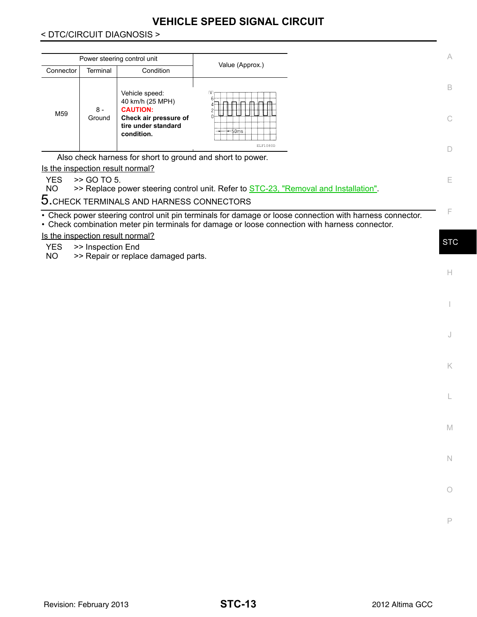## **VEHICLE SPEED SIGNAL CIRCUIT**

#### < DTC/CIRCUIT DIAGNOSIS >

| Power steering control unit<br>Value (Approx.)<br>Terminal<br>Condition<br>Connector<br>Vehicle speed:<br>V.<br>40 km/h (25 MPH)<br>m Imi<br>$\overline{\phantom{0}}$<br>ᅟᇊ<br>⊿⊟⊢⊟<br><b>CAUTION:</b><br>8 -<br>M59<br>∩⊢<br>Check air pressure of<br>Ground<br>tire under standard<br>—50ms<br>condition. |                                                            |  |  |  |  |  |  |  |  |
|-------------------------------------------------------------------------------------------------------------------------------------------------------------------------------------------------------------------------------------------------------------------------------------------------------------|------------------------------------------------------------|--|--|--|--|--|--|--|--|
|                                                                                                                                                                                                                                                                                                             |                                                            |  |  |  |  |  |  |  |  |
|                                                                                                                                                                                                                                                                                                             |                                                            |  |  |  |  |  |  |  |  |
|                                                                                                                                                                                                                                                                                                             |                                                            |  |  |  |  |  |  |  |  |
|                                                                                                                                                                                                                                                                                                             |                                                            |  |  |  |  |  |  |  |  |
|                                                                                                                                                                                                                                                                                                             | Also check harness for short to ground and short to power. |  |  |  |  |  |  |  |  |

Is the inspection result normal?

 $YES$   $>>$  GO TO 5.<br>NO  $>>$  Replace p >> Replace power steering control unit. Refer to **STC-23**, "Removal and Installation".

 $5.$ CHECK TERMINALS AND HARNESS CONNECTORS

• Check power steering control unit pin terminals for damage or loose connection with harness connector. • Check combination meter pin terminals for damage or loose connection with harness connector.

Is the inspection result normal?

YES >> Inspection End

NO >> Repair or replace damaged parts.

**STC** 

H

I

J

K

L

M

N

O

P

E

F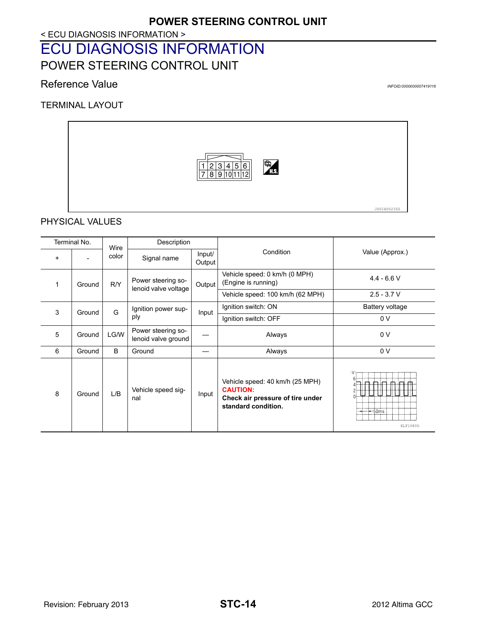#### < ECU DIAGNOSIS INFORMATION >

# <span id="page-13-1"></span><span id="page-13-0"></span>ECU DIAGNOSIS INFORMATION POWER STEERING CONTROL UNIT

#### <span id="page-13-2"></span>Reference Value **Information INFOID:0000000007419116**

TERMINAL LAYOUT



PHYSICAL VALUES

| Terminal No.           |        | Description<br>Wire |                                            |                  |                                                                                                               |                         |  |
|------------------------|--------|---------------------|--------------------------------------------|------------------|---------------------------------------------------------------------------------------------------------------|-------------------------|--|
| $\ddot{}$              |        | color               | Signal name                                | Input/<br>Output | Condition                                                                                                     | Value (Approx.)         |  |
| $\mathbf{1}$<br>Ground |        | R/Y                 | Power steering so-<br>lenoid valve voltage | Output           | Vehicle speed: 0 km/h (0 MPH)<br>(Engine is running)                                                          | $4.4 - 6.6 V$           |  |
|                        |        |                     |                                            |                  | Vehicle speed: 100 km/h (62 MPH)                                                                              | $2.5 - 3.7 V$           |  |
| 3                      | Ground | G                   | Ignition power sup-                        | Input            | Ignition switch: ON                                                                                           | Battery voltage         |  |
|                        |        |                     | ply                                        |                  | Ignition switch: OFF                                                                                          | 0 <sub>V</sub>          |  |
| 5                      | Ground | LG/W                | Power steering so-<br>lenoid valve ground  |                  | Always                                                                                                        | 0 <sub>V</sub>          |  |
| 6                      | Ground | B                   | Ground                                     |                  | Always                                                                                                        | 0 V                     |  |
| 8                      | Ground | L/B                 | Vehicle speed sig-<br>nal                  | Input            | Vehicle speed: 40 km/h (25 MPH)<br><b>CAUTION:</b><br>Check air pressure of tire under<br>standard condition. | (V<br>-50ms<br>ELF1080D |  |

JSGIA0023ZZ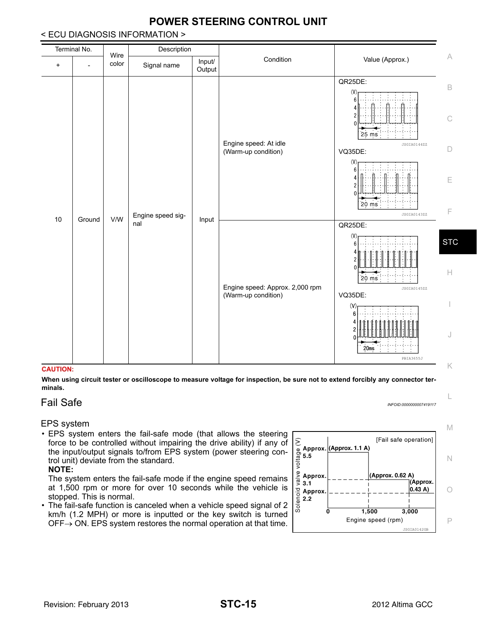| Input/<br>color<br>Signal name<br>$\ddot{}$<br>$\overline{a}$<br>Output<br>QR25DE:<br>$\mathsf B$<br>(V)<br>6<br>Δ<br>2<br>$\mathop{\mathbb{C}}$<br>25 ms<br>Engine speed: At idle<br>JSGIA0144ZZ<br>$\Box$<br>(Warm-up condition)<br>VQ35DE:<br>(V)<br>ĥ<br>Ε<br>$20 \text{ ms}$<br>F<br>Engine speed sig-<br>JSGIA0143ZZ<br>V/W<br>10<br>Ground<br>Input<br>nal<br>QR25DE:<br>(V)<br>6<br>$\Omega$<br>$20 \text{ ms}$<br>Engine speed: Approx. 2,000 rpm<br>JSGIA0145ZZ<br>(Warm-up condition)<br>VQ35DE:<br>$\mathsf{\scriptstyle{(V)}}$<br>6<br>J<br>20ms | Terminal No. | Wire | Description |  |           |                 |                  |
|---------------------------------------------------------------------------------------------------------------------------------------------------------------------------------------------------------------------------------------------------------------------------------------------------------------------------------------------------------------------------------------------------------------------------------------------------------------------------------------------------------------------------------------------------------------|--------------|------|-------------|--|-----------|-----------------|------------------|
|                                                                                                                                                                                                                                                                                                                                                                                                                                                                                                                                                               |              |      |             |  | Condition | Value (Approx.) | A                |
|                                                                                                                                                                                                                                                                                                                                                                                                                                                                                                                                                               |              |      |             |  |           |                 |                  |
|                                                                                                                                                                                                                                                                                                                                                                                                                                                                                                                                                               |              |      |             |  |           | PBIA3655J       | <b>STC</b><br>H. |

## **POWER STEERING CONTROL UNIT**

#### < ECU DIAGNOSIS INFORMATION >

#### **CAUTION:**

**When using circuit tester or oscilloscope to measure voltage for inspection, be sure not to extend forcibly any connector terminals.**

#### <span id="page-14-0"></span>Fail Safe *INFOID:0000000007419117*

L

#### EPS system

• EPS system enters the fail-safe mode (that allows the steering force to be controlled without impairing the drive ability) if any of the input/output signals to/from EPS system (power steering control unit) deviate from the standard.

#### **NOTE:**

The system enters the fail-safe mode if the engine speed remains at 1,500 rpm or more for over 10 seconds while the vehicle is stopped. This is normal.

• The fail-safe function is canceled when a vehicle speed signal of 2 km/h (1.2 MPH) or more is inputted or the key switch is turned  $OFF \rightarrow ON$ . EPS system restores the normal operation at that time.

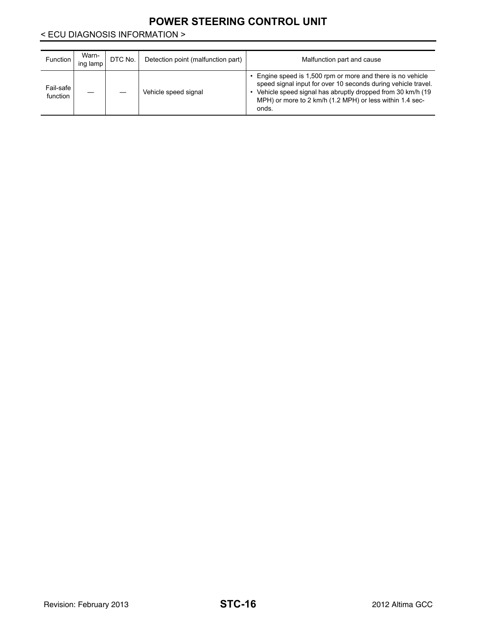## **POWER STEERING CONTROL UNIT**

#### < ECU DIAGNOSIS INFORMATION >

| <b>Function</b>       | Warn-<br>ing lamp | DTC No. | Detection point (malfunction part) | Malfunction part and cause                                                                                                                                                                                                                                     |
|-----------------------|-------------------|---------|------------------------------------|----------------------------------------------------------------------------------------------------------------------------------------------------------------------------------------------------------------------------------------------------------------|
| Fail-safe<br>function |                   |         | Vehicle speed signal               | Engine speed is 1,500 rpm or more and there is no vehicle<br>speed signal input for over 10 seconds during vehicle travel.<br>Vehicle speed signal has abruptly dropped from 30 km/h (19)<br>MPH) or more to 2 km/h (1.2 MPH) or less within 1.4 sec-<br>onds. |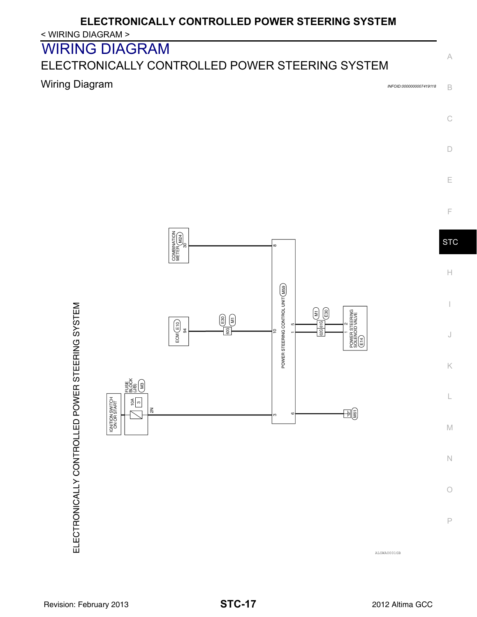# **ELECTRONICALLY CONTROLLED POWER STEERING SYSTEM**

#### < WIRING DIAGRAM >

# <span id="page-16-0"></span>WIRING DIAGRAM

# <span id="page-16-1"></span>ELECTRONICALLY CONTROLLED POWER STEERING SYSTEM

# <span id="page-16-2"></span>**Wiring Diagram** *INFOID:0000000007419118*

B



C

A

E



**STC** 

 $\mathbb H$ 

I

J

K

L

M

N

 $\bigcirc$ 

P

ELECTRONICALLY CONTROLLED POWER STEERING SYSTEM

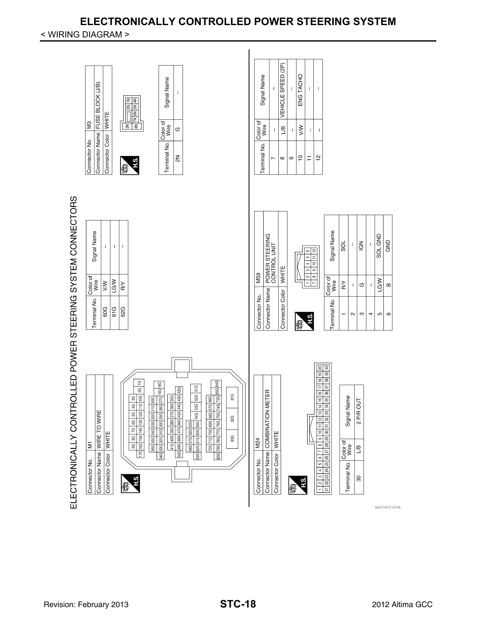# **ELECTRONICALLY CONTROLLED POWER STEERING SYSTEM**

#### < WIRING DIAGRAM >



AAGIA0014GB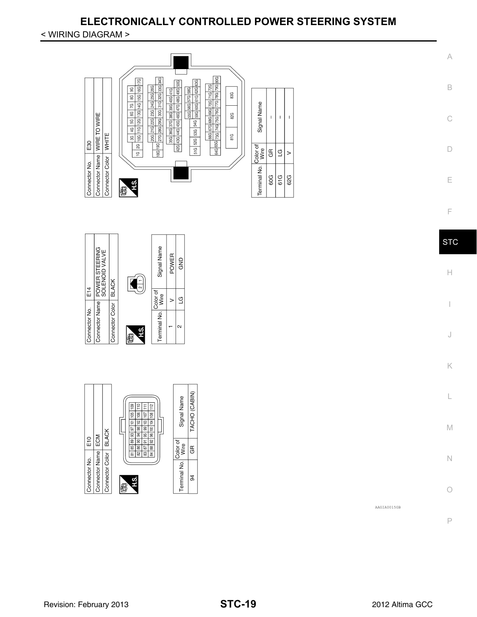# **ELECTRONICALLY CONTROLLED POWER STEERING SYSTEM**

#### < WIRING DIAGRAM >



P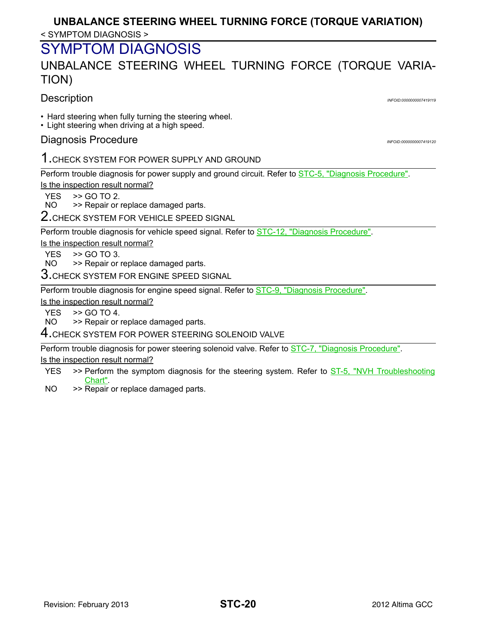## < SYMPTOM DIAGNOSIS > **UNBALANCE STEERING WHEEL TURNING FORCE (TORQUE VARIATION)**

# <span id="page-19-0"></span>SYMPTOM DIAGNOSIS

# <span id="page-19-1"></span>UNBALANCE STEERING WHEEL TURNING FORCE (TORQUE VARIA-TION)

## <span id="page-19-2"></span>Description *INFOID:0000000007419119*

- Hard steering when fully turning the steering wheel.
- Light steering when driving at a high speed.

## <span id="page-19-3"></span>**Diagnosis Procedure** *INFOID:0000000007419120*

## 1.CHECK SYSTEM FOR POWER SUPPLY AND GROUND

Perform trouble diagnosis for power supply and ground circuit. Refer to [STC-5, "Diagnosis Procedure".](#page-4-3) Is the inspection result normal?

 $YES$   $>>$  GO TO 2.<br>NO  $>>$  Repair or

>> Repair or replace damaged parts.

2.CHECK SYSTEM FOR VEHICLE SPEED SIGNAL

Perform trouble diagnosis for vehicle speed signal. Refer to **STC-12**, "Diagnosis Procedure".

Is the inspection result normal?

YES  $\Rightarrow$  GO TO 3.

NO >> Repair or replace damaged parts.

 $3.$ CHECK SYSTEM FOR ENGINE SPEED SIGNAL

Perform trouble diagnosis for engine speed signal. Refer to **STC-9**, "Diagnosis Procedure".

Is the inspection result normal?

 $YES$   $>>$  GO TO 4.<br>NO  $>>$  Repair or

>> Repair or replace damaged parts.

4.CHECK SYSTEM FOR POWER STEERING SOLENOID VALVE

Perform trouble diagnosis for power steering solenoid valve. Refer to [STC-7, "Diagnosis Procedure".](#page-6-2) Is the inspection result normal?

- YES >> Perform the symptom diagnosis for the steering system. Refer to ST-5, "NVH Troubleshooting Chart".
- NO >> Repair or replace damaged parts.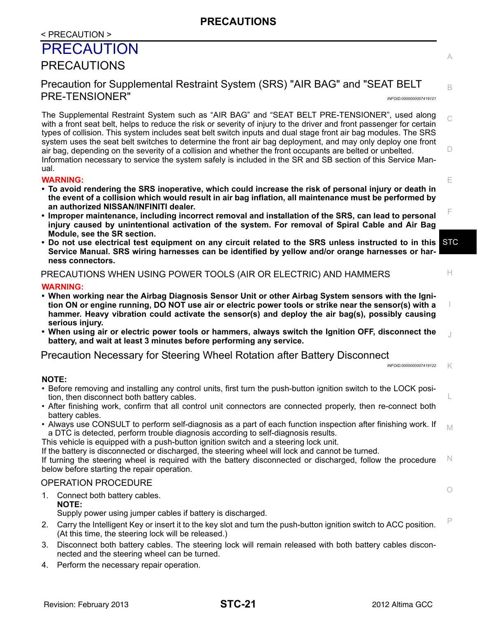# <span id="page-20-0"></span>< PRECAUTION > PRECAUTION

## <span id="page-20-1"></span>PRECAUTIONS

## <span id="page-20-2"></span>Precaution for Supplemental Restraint System (SRS) "AIR BAG" and "SEAT BELT PRE-TENSIONER" *INFOID:0000000007419121*

C  $\Box$ The Supplemental Restraint System such as "AIR BAG" and "SEAT BELT PRE-TENSIONER", used along with a front seat belt, helps to reduce the risk or severity of injury to the driver and front passenger for certain types of collision. This system includes seat belt switch inputs and dual stage front air bag modules. The SRS system uses the seat belt switches to determine the front air bag deployment, and may only deploy one front air bag, depending on the severity of a collision and whether the front occupants are belted or unbelted. Information necessary to service the system safely is included in the SR and SB section of this Service Manual.

#### **WARNING:**

- **To avoid rendering the SRS inoperative, which could increase the risk of personal injury or death in the event of a collision which would result in air bag inflation, all maintenance must be performed by an authorized NISSAN/INFINITI dealer.**
- **Improper maintenance, including incorrect removal and installation of the SRS, can lead to personal injury caused by unintentional activation of the system. For removal of Spiral Cable and Air Bag Module, see the SR section.**
- **STC • Do not use electrical test equipment on any circuit related to the SRS unless instructed to in this Service Manual. SRS wiring harnesses can be identified by yellow and/or orange harnesses or harness connectors.**

#### PRECAUTIONS WHEN USING POWER TOOLS (AIR OR ELECTRIC) AND HAMMERS

#### **WARNING:**

- **When working near the Airbag Diagnosis Sensor Unit or other Airbag System sensors with the Ignition ON or engine running, DO NOT use air or electric power tools or strike near the sensor(s) with a hammer. Heavy vibration could activate the sensor(s) and deploy the air bag(s), possibly causing serious injury.**
- J **• When using air or electric power tools or hammers, always switch the Ignition OFF, disconnect the battery, and wait at least 3 minutes before performing any service.**

#### <span id="page-20-3"></span>Precaution Necessary for Steering Wheel Rotation after Battery Disconnect

K *INFOID:0000000007419122*

E

A

B

F

H

I

L

O

#### **NOTE:**

- Before removing and installing any control units, first turn the push-button ignition switch to the LOCK position, then disconnect both battery cables.
- After finishing work, confirm that all control unit connectors are connected properly, then re-connect both battery cables.
- M • Always use CONSULT to perform self-diagnosis as a part of each function inspection after finishing work. If a DTC is detected, perform trouble diagnosis according to self-diagnosis results.
- This vehicle is equipped with a push-button ignition switch and a steering lock unit.

If the battery is disconnected or discharged, the steering wheel will lock and cannot be turned.

N If turning the steering wheel is required with the battery disconnected or discharged, follow the procedure below before starting the repair operation.

#### OPERATION PROCEDURE

1. Connect both battery cables. **NOTE:**

Supply power using jumper cables if battery is discharged.

- P 2. Carry the Intelligent Key or insert it to the key slot and turn the push-button ignition switch to ACC position. (At this time, the steering lock will be released.)
- 3. Disconnect both battery cables. The steering lock will remain released with both battery cables disconnected and the steering wheel can be turned.
- 4. Perform the necessary repair operation.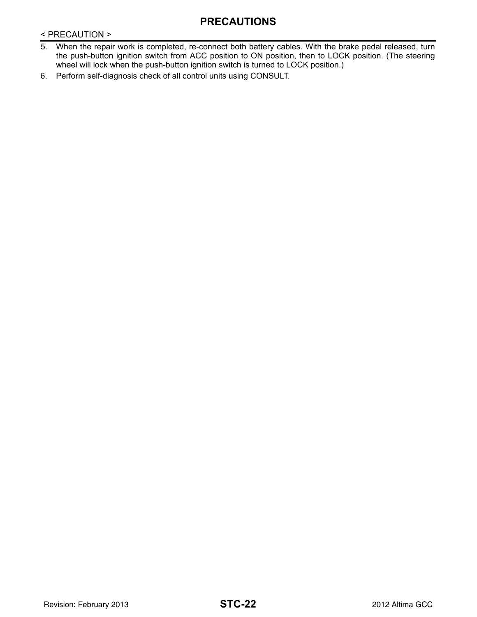## **PRECAUTIONS**

< PRECAUTION >

- 5. When the repair work is completed, re-connect both battery cables. With the brake pedal released, turn the push-button ignition switch from ACC position to ON position, then to LOCK position. (The steering wheel will lock when the push-button ignition switch is turned to LOCK position.)
- 6. Perform self-diagnosis check of all control units using CONSULT.